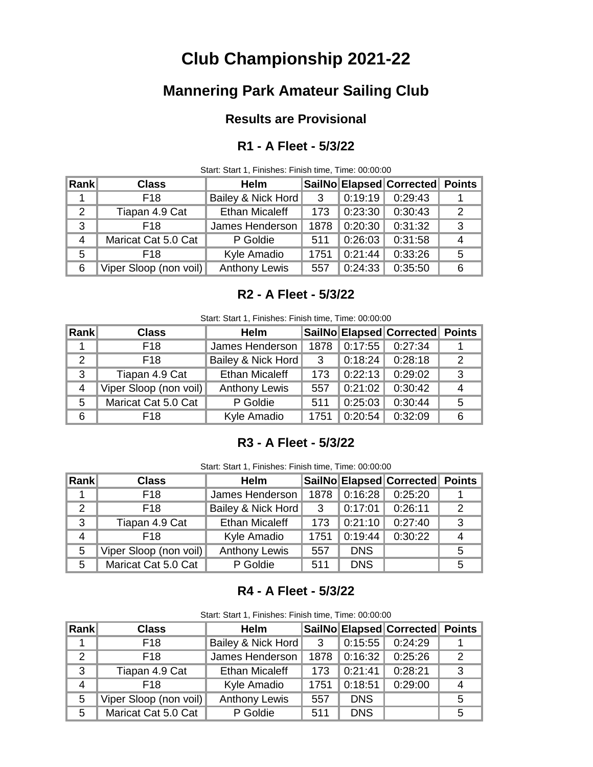# **Club Championship 2021-22**

## **Mannering Park Amateur Sailing Club**

## **Results are Provisional**

## **R1 - A Fleet - 5/3/22**

Start: Start 1, Finishes: Finish time, Time: 00:00:00

| <b>Rank</b> | <b>Class</b>           | <b>Helm</b>           |      |         | SailNo Elapsed Corrected Points |   |
|-------------|------------------------|-----------------------|------|---------|---------------------------------|---|
|             | F <sub>18</sub>        | Bailey & Nick Hord    | - 3  | 0:19:19 | 0:29:43                         |   |
| 2           | Tiapan 4.9 Cat         | <b>Ethan Micaleff</b> | 173  | 0:23:30 | 0:30:43                         |   |
| 3           | F <sub>18</sub>        | James Henderson       | 1878 | 0:20:30 | 0:31:32                         |   |
| 4           | Maricat Cat 5.0 Cat    | P Goldie              | 511  | 0:26:03 | 0:31:58                         |   |
| 5           | F <sub>18</sub>        | Kyle Amadio           | 1751 | 0:21:44 | 0:33:26                         | 5 |
| 6           | Viper Sloop (non voil) | <b>Anthony Lewis</b>  | 557  | 0:24:33 | 0:35:50                         |   |

## **R2 - A Fleet - 5/3/22**

| Start: Start 1, Finishes: Finish time, Time: 00:00:00 |  |  |  |
|-------------------------------------------------------|--|--|--|

| Rankl         | <b>Class</b>           | <b>Helm</b>           |              |                     | SailNo Elapsed Corrected Points |    |
|---------------|------------------------|-----------------------|--------------|---------------------|---------------------------------|----|
|               | F18                    | James Henderson       | 1878         | 0:17:55             | 0:27:34                         |    |
| $\mathcal{P}$ | F <sub>18</sub>        | Bailey & Nick Hord    | $\mathbf{3}$ | $\parallel$ 0:18:24 | 0:28:18                         | 2  |
| 3             | Tiapan 4.9 Cat         | <b>Ethan Micaleff</b> | 173          | $\parallel$ 0:22:13 | 0:29:02                         | -3 |
| 4             | Viper Sloop (non voil) | <b>Anthony Lewis</b>  | 557          | 0:21:02             | 0:30:42                         | 4  |
| 5             | Maricat Cat 5.0 Cat    | P Goldie              | 511          | 0:25:03             | 0:30:44                         | 5  |
| 6             | F <sub>18</sub>        | Kyle Amadio           | 1751         | 0:20:54             | 0:32:09                         | 6  |

## **R3 - A Fleet - 5/3/22**

Start: Start 1, Finishes: Finish time, Time: 00:00:00

| Rank          | <b>Class</b>           | <b>Helm</b>           |              |                       | SailNo Elapsed Corrected Points |   |
|---------------|------------------------|-----------------------|--------------|-----------------------|---------------------------------|---|
|               | F <sub>18</sub>        | James Henderson       | 1878         | 0:16:28               | 0:25:20                         |   |
| $\mathcal{P}$ | F <sub>18</sub>        | Bailey & Nick Hord    | $\mathbf{3}$ | $\vert 0:17:01 \vert$ | 0:26:11                         |   |
| 3             | Tiapan 4.9 Cat         | <b>Ethan Micaleff</b> | 173          | 0:21:10               | 0:27:40                         | 3 |
| 4             | F <sub>18</sub>        | Kyle Amadio           | 1751         | 0:19:44               | 0:30:22                         |   |
| 5             | Viper Sloop (non voil) | <b>Anthony Lewis</b>  | 557          | <b>DNS</b>            |                                 | 5 |
| 5             | Maricat Cat 5.0 Cat    | P Goldie              | 511          | <b>DNS</b>            |                                 | 5 |

### **R4 - A Fleet - 5/3/22**

|  |  |  | Start: Start 1, Finishes: Finish time, Time: 00:00:00 |
|--|--|--|-------------------------------------------------------|
|--|--|--|-------------------------------------------------------|

| Rank | <b>Class</b>           | <b>Helm</b>           |                         |              | SailNo Elapsed Corrected Points |  |
|------|------------------------|-----------------------|-------------------------|--------------|---------------------------------|--|
|      | F <sub>18</sub>        | Bailey & Nick Hord    | $\overline{\mathbf{3}}$ | $\ $ 0:15:55 | 0:24:29                         |  |
| 2    | F <sub>18</sub>        | James Henderson       |                         | 1878 0:16:32 | 0:25:26                         |  |
| 3    | Tiapan 4.9 Cat         | <b>Ethan Micaleff</b> | 173                     | 0:21:41      | 0:28:21                         |  |
| 4    | F <sub>18</sub>        | Kyle Amadio           | 1751                    | 0:18:51      | 0:29:00                         |  |
| 5    | Viper Sloop (non voil) | <b>Anthony Lewis</b>  | 557                     | <b>DNS</b>   |                                 |  |
| 5    | Maricat Cat 5.0 Cat    | P Goldie              | 511                     | <b>DNS</b>   |                                 |  |